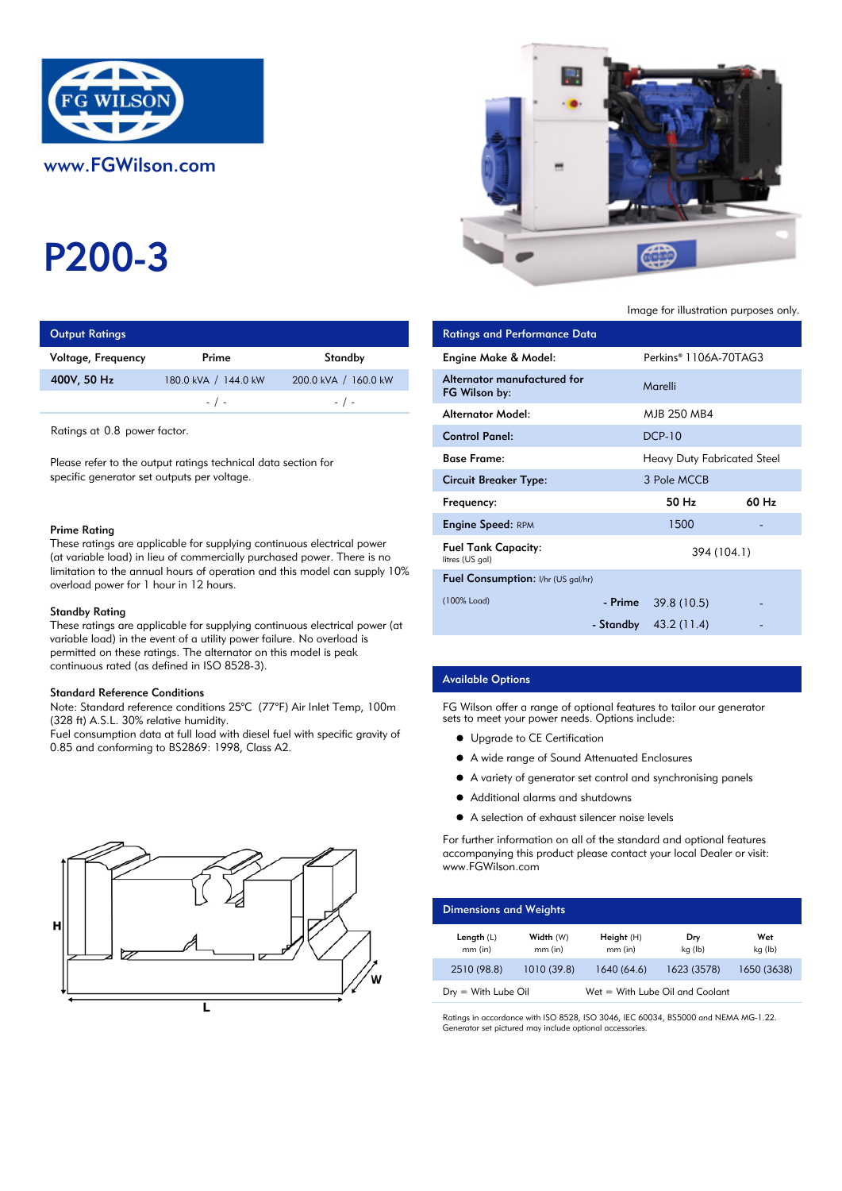

# P200-3

| <b>Output Ratings</b> |                      | <b>Ratings and Performance Data</b> |                             |
|-----------------------|----------------------|-------------------------------------|-----------------------------|
| Voltage, Frequency    | Prime                | Standby                             | Engine Make & Model:        |
| 400V, 50 Hz           | 180.0 kVA / 144.0 kW | 200.0 kVA / 160.0 kW                | Alternator manufactured for |
|                       | $-$ / $-$            | $-$ / $-$                           | FG Wilson by:               |
|                       |                      |                                     | A la superior A A selection |

#### Prime Rating

## Standby Rating

These ratings are applicable for supplying continuous electrical power (at variable load) in the event of a utility power failure. No overload is permitted on these ratings. The alternator on this model is peak continuous rated (as defined in ISO 8528-3).

#### Standard Reference Conditions

Note: Standard reference conditions 25°C (77°F) Air Inlet Temp, 100m (328 ft) A.S.L. 30% relative humidity.

Fuel consumption data at full load with diesel fuel with specific gravity of 0.85 and conforming to BS2869: 1998, Class A2.





Image for illustration purposes only.

| <b>Output Ratings</b>                                                                                                                                                                                                                                                                    |                      |                                                                            | <b>Ratings and Performance Data</b>           |         |                                    |       |
|------------------------------------------------------------------------------------------------------------------------------------------------------------------------------------------------------------------------------------------------------------------------------------------|----------------------|----------------------------------------------------------------------------|-----------------------------------------------|---------|------------------------------------|-------|
| Voltage, Frequency                                                                                                                                                                                                                                                                       | Prime                | Standby                                                                    | Engine Make & Model:                          |         | Perkins® 1106A-70TAG3              |       |
| 400V, 50 Hz                                                                                                                                                                                                                                                                              | 180.0 kVA / 144.0 kW | 200.0 kVA / 160.0 kW                                                       | Alternator manufactured for<br>FG Wilson by:  |         | Marelli                            |       |
|                                                                                                                                                                                                                                                                                          | $-$ / $-$            | $-$ / $-$                                                                  | <b>Alternator Model:</b>                      |         | MJB 250 MB4                        |       |
| Ratings at 0.8 power factor.                                                                                                                                                                                                                                                             |                      |                                                                            | <b>Control Panel:</b>                         |         | <b>DCP-10</b>                      |       |
| Please refer to the output ratings technical data section for<br>specific generator set outputs per voltage.                                                                                                                                                                             |                      |                                                                            | <b>Base Frame:</b>                            |         | <b>Heavy Duty Fabricated Steel</b> |       |
|                                                                                                                                                                                                                                                                                          |                      |                                                                            | <b>Circuit Breaker Type:</b>                  |         | 3 Pole MCCB                        |       |
|                                                                                                                                                                                                                                                                                          |                      |                                                                            | Frequency:                                    |         | 50 Hz                              | 60 Hz |
| Prime Rating<br>These ratings are applicable for supplying continuous electrical power<br>(at variable load) in lieu of commercially purchased power. There is no<br>limitation to the annual hours of operation and this model can supply 10%<br>overload power for 1 hour in 12 hours. |                      |                                                                            | <b>Engine Speed: RPM</b>                      |         | 1500                               |       |
|                                                                                                                                                                                                                                                                                          |                      |                                                                            | <b>Fuel Tank Capacity:</b><br>litres (US gal) |         | 394 (104.1)                        |       |
|                                                                                                                                                                                                                                                                                          |                      |                                                                            | Fuel Consumption: I/hr (US gal/hr)            |         |                                    |       |
| Standby Rating                                                                                                                                                                                                                                                                           |                      |                                                                            | (100% Load)                                   | - Prime | 39.8 (10.5)                        |       |
|                                                                                                                                                                                                                                                                                          |                      | These ratings are applicable for supplying continuous electrical power (at |                                               |         | - Standby $43.2(11.4)$             |       |

## Available Options

FG Wilson offer a range of optional features to tailor our generator sets to meet your power needs. Options include:

- **•** Upgrade to CE Certification
- A wide range of Sound Attenuated Enclosures
- A variety of generator set control and synchronising panels
- $\bullet$ Additional alarms and shutdowns
- A selection of exhaust silencer noise levels

For further information on all of the standard and optional features accompanying this product please contact your local Dealer or visit: www.FGWilson.com

| <b>Dimensions and Weights</b> |                        |                                   |                |                |
|-------------------------------|------------------------|-----------------------------------|----------------|----------------|
| Length $(L)$<br>$mm$ (in)     | Width (W)<br>$mm$ (in) | Height(H)<br>$mm$ (in)            | Dry<br>kg (lb) | Wet<br>kg (lb) |
| 2510 (98.8)                   | 1010 (39.8)            | 1640 (64.6)                       | 1623 (3578)    | 1650 (3638)    |
| $Dry = With Lube Oil$         |                        | $Wet = With Lube Oil and Coolant$ |                |                |

Ratings in accordance with ISO 8528, ISO 3046, IEC 60034, BS5000 and NEMA MG-1.22. Generator set pictured may include optional accessories.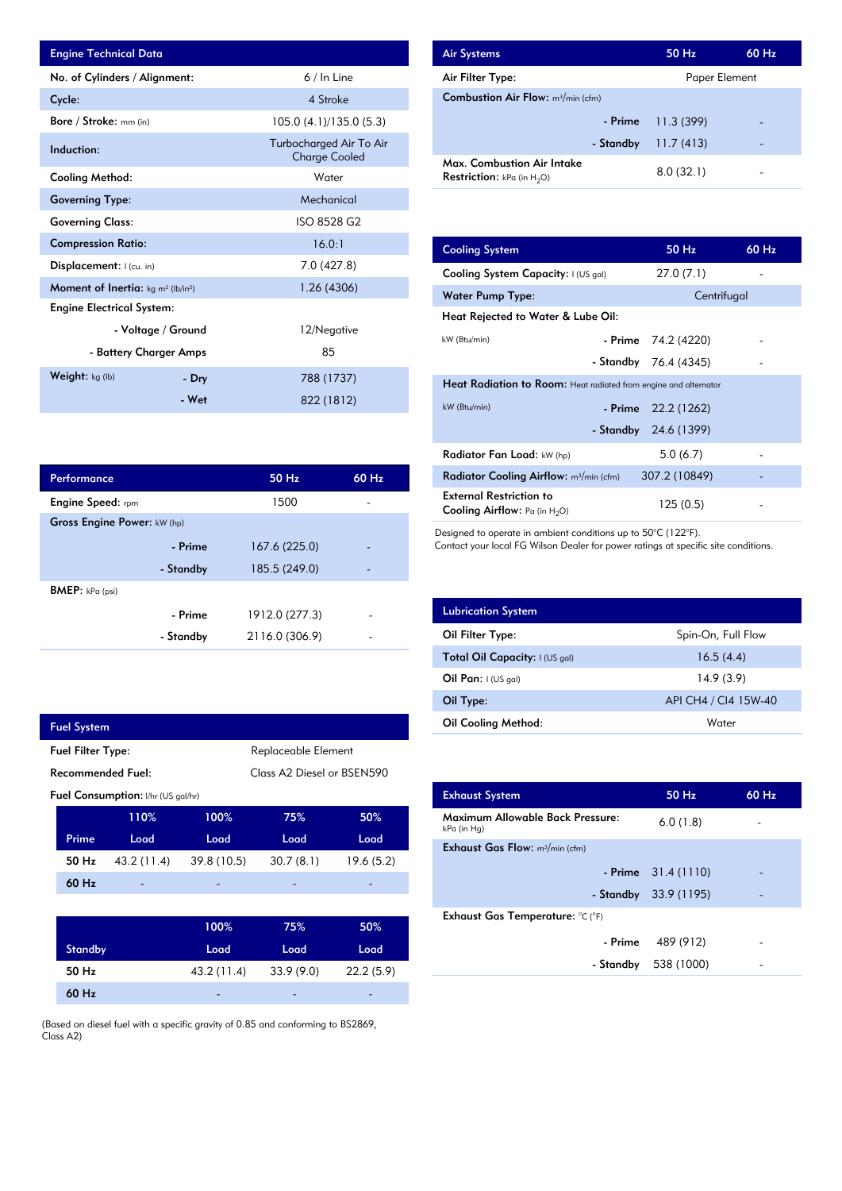| <b>Engine Technical Data</b>                                      |                        |                                                 | <b>Air Systems</b>  |
|-------------------------------------------------------------------|------------------------|-------------------------------------------------|---------------------|
| No. of Cylinders / Alignment:                                     |                        | $6/ln$ Line                                     | Air Filter Ty       |
| Cycle:                                                            |                        | 4 Stroke                                        | Combustion          |
| Bore / Stroke: mm (in)                                            |                        | 105.0 (4.1)/135.0 (5.3)                         |                     |
| Induction:                                                        |                        | Turbocharged Air To Air<br><b>Charge Cooled</b> | Max. Comb           |
| <b>Cooling Method:</b>                                            |                        | Water                                           | <b>Restriction:</b> |
| <b>Governing Type:</b>                                            |                        | Mechanical                                      |                     |
| <b>Governing Class:</b>                                           |                        | ISO 8528 G2                                     |                     |
| <b>Compression Ratio:</b>                                         |                        | 16.0:1                                          | <b>Cooling Sys</b>  |
| Displacement: I (cu. in)                                          |                        | 7.0 (427.8)                                     | <b>Cooling Sys</b>  |
| <b>Moment of Inertia:</b> kg m <sup>2</sup> (lb/in <sup>2</sup> ) |                        | 1.26 (4306)                                     | Water Pum           |
| <b>Engine Electrical System:</b>                                  |                        |                                                 | <b>Heat Reject</b>  |
|                                                                   | - Voltage / Ground     | 12/Negative                                     | kW (Btu/min)        |
|                                                                   | - Battery Charger Amps | 85                                              |                     |
| Weight: $kg (lb)$                                                 | - Dry                  | 788 (1737)                                      | <b>Heat Radia</b>   |
|                                                                   | - Wet                  | 822 (1812)                                      | $kW$ ( $Rtu/min$ )  |

| <b>Air Systems</b>                                                 | 50 Hz         | 60 Hz |
|--------------------------------------------------------------------|---------------|-------|
| Air Filter Type:                                                   | Paper Element |       |
| <b>Combustion Air Flow:</b> $m^3/m$ in (cfm)                       |               |       |
| - Prime                                                            | 11.3(399)     |       |
| - Standby                                                          | 11.7(413)     |       |
| Max. Combustion Air Intake<br><b>Restriction:</b> kPa (in $H_2O$ ) | 8.0(32.1)     |       |

| 16.0:1         | <b>Cooling System</b>                                                     | 50 Hz                                                                   | 60 Hz |  |  |  |
|----------------|---------------------------------------------------------------------------|-------------------------------------------------------------------------|-------|--|--|--|
| 7.0 (427.8)    | Cooling System Capacity: I (US gal)                                       | 27.0(7.1)                                                               |       |  |  |  |
| 1.26(4306)     | Water Pump Type:                                                          | Centrifugal                                                             |       |  |  |  |
|                | Heat Rejected to Water & Lube Oil:                                        |                                                                         |       |  |  |  |
| 12/Negative    | kW (Btu/min)                                                              | - Prime<br>74.2 (4220)                                                  |       |  |  |  |
| 85             | - Standby                                                                 | 76.4 (4345)                                                             |       |  |  |  |
| 788 (1737)     |                                                                           | <b>Heat Radiation to Room:</b> Heat radiated from engine and alternator |       |  |  |  |
| 822 (1812)     | kW (Btu/min)                                                              | - Prime<br>22.2 (1262)                                                  |       |  |  |  |
|                | - Standby                                                                 | 24.6 (1399)                                                             |       |  |  |  |
|                | Radiator Fan Load: kW (hp)                                                | 5.0(6.7)                                                                |       |  |  |  |
| 60 Hz<br>50 Hz | Radiator Cooling Airflow: m <sup>3</sup> /min (cfm)                       | 307.2 (10849)                                                           |       |  |  |  |
| 1500           | <b>External Restriction to</b><br><b>Cooling Airflow:</b> Pa (in $H_2O$ ) | 125(0.5)                                                                |       |  |  |  |

Designed to operate in ambient conditions up to 50°C (122°F).

Contact your local FG Wilson Dealer for power ratings at specific site conditions.

| <b>Lubrication System</b>      |                      |
|--------------------------------|----------------------|
| Oil Filter Type:               | Spin-On, Full Flow   |
| Total Oil Capacity: I (US gal) | 16.5(4.4)            |
| Oil Pan: $1(US gal)$           | 14.9(3.9)            |
| Oil Type:                      | API CH4 / CI4 15W-40 |
| <b>Oil Cooling Method:</b>     | Water                |

| <b>Exhaust System</b>                           | 50 Hz                  | $60$ Hz |
|-------------------------------------------------|------------------------|---------|
| Maximum Allowable Back Pressure:<br>kPa (in Hg) | 6.0(1.8)               |         |
| <b>Exhaust Gas Flow:</b> $m^3/m$ in (cfm)       |                        |         |
|                                                 | $-$ Prime $31.4(1110)$ |         |
|                                                 | - Standby $33.9(1195)$ |         |
| Exhaust Gas Temperature: °C (°F)                |                        |         |
| - Prime                                         | 489 (912)              |         |
| - Standby                                       | 538 (1000)             |         |
|                                                 |                        |         |

|           | 50 Hz                       | 60 Hz |
|-----------|-----------------------------|-------|
|           | 1500                        |       |
|           |                             |       |
| - Prime   | 167.6 (225.0)               |       |
| - Standby | 185.5 (249.0)               |       |
|           |                             |       |
| - Prime   | 1912.0 (277.3)              |       |
| - Standby | 2116.0 (306.9)              |       |
|           | Gross Engine Power: kW (hp) |       |

| <b>Fuel System</b>                              |                                           |             |                            |           |  |
|-------------------------------------------------|-------------------------------------------|-------------|----------------------------|-----------|--|
| Replaceable Element<br><b>Fuel Filter Type:</b> |                                           |             |                            |           |  |
| Recommended Fuel:                               |                                           |             | Class A2 Diesel or BSEN590 |           |  |
|                                                 | <b>Fuel Consumption:</b> I/hr (US gal/hr) |             |                            |           |  |
|                                                 | 110%                                      | 100%        | 75%                        | 50%       |  |
| Prime                                           | Load                                      | Load        | Load                       | Load      |  |
| 50 Hz                                           | 43.2 (11.4)                               | 39.8 (10.5) | 30.7(8.1)                  | 19.6(5.2) |  |
| $60$ Hz                                         |                                           |             |                            |           |  |
|                                                 |                                           |             |                            |           |  |
|                                                 |                                           | 100%        | 75%                        | 50%       |  |
| <b>Standby</b>                                  |                                           | Load        | Load                       | Load      |  |
| 50 Hz                                           |                                           | 43.2 (11.4) | 33.9(9.0)                  | 22.2(5.9) |  |

(Based on diesel fuel with a specific gravity of 0.85 and conforming to BS2869, Class A2)

-

- 22.2 (5.9)

- 33.9 (9.0)

60 Hz 50 Hz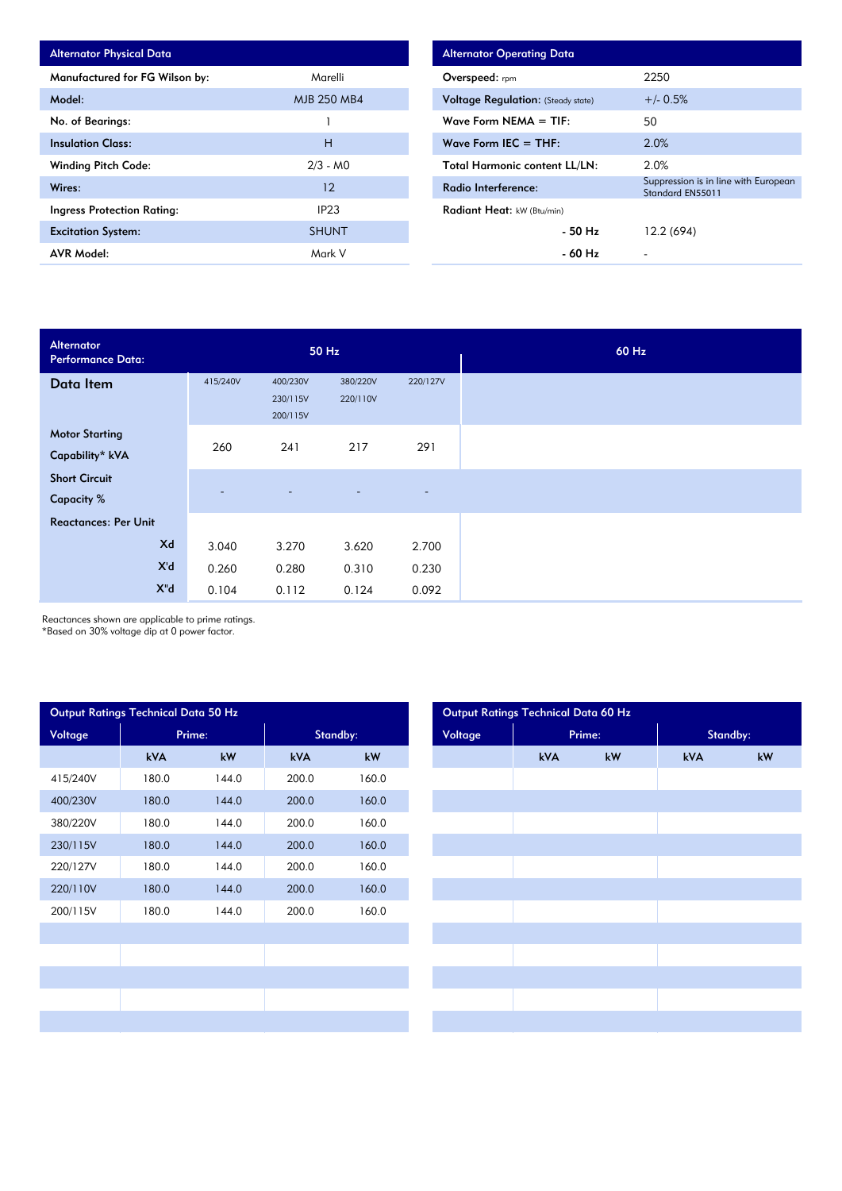| <b>Alternator Physical Data</b>   |                  |
|-----------------------------------|------------------|
| Manufactured for FG Wilson by:    | Marelli          |
| Model:                            | MJB 250 MB4      |
| No. of Bearings:                  |                  |
| <b>Insulation Class:</b>          | н                |
| <b>Winding Pitch Code:</b>        | $2/3 - M0$       |
| Wires:                            | 12               |
| <b>Ingress Protection Rating:</b> | IP <sub>23</sub> |
| <b>Excitation System:</b>         | <b>SHUNT</b>     |
| <b>AVR Model:</b>                 | Mark V           |

| <b>Alternator Operating Data</b>          |                                                          |
|-------------------------------------------|----------------------------------------------------------|
| Overspeed: rpm                            | 2250                                                     |
| <b>Voltage Regulation:</b> (Steady state) | $+/- 0.5%$                                               |
| Wave Form $NEMA = TIF$ :                  | 50.                                                      |
| Wave Form IEC $=$ THE:                    | 2.0%                                                     |
| <b>Total Harmonic content LL/LN:</b>      | 2.0%                                                     |
| Radio Interference:                       | Suppression is in line with European<br>Standard EN55011 |
| Radiant Heat: kW (Btu/min)                |                                                          |
| - 50 Hz                                   | 12.2 (694)                                               |
| - 60 Hz                                   |                                                          |

| Alternator<br>Performance Data:           | 50 Hz                    |                                  |                      |          |
|-------------------------------------------|--------------------------|----------------------------------|----------------------|----------|
| Data Item                                 | 415/240V                 | 400/230V<br>230/115V<br>200/115V | 380/220V<br>220/110V | 220/127V |
| <b>Motor Starting</b><br>Capability* kVA  | 260                      | 241                              | 217                  | 291      |
| <b>Short Circuit</b><br><b>Capacity %</b> | $\overline{\phantom{a}}$ | $\overline{\phantom{a}}$         | $\overline{a}$       | $\sim$   |
| <b>Reactances: Per Unit</b>               |                          |                                  |                      |          |
| Xd                                        | 3.040                    | 3.270                            | 3.620                | 2.700    |
| X'd                                       | 0.260                    | 0.280                            | 0.310                | 0.230    |
| $X^{\prime\prime}$ d                      | 0.104                    | 0.112                            | 0.124                | 0.092    |

Reactances shown are applicable to prime ratings.

\*Based on 30% voltage dip at 0 power factor.

| Output Ratings Technical Data 50 Hz |            |        |            |       |  |  |  |  |  |
|-------------------------------------|------------|--------|------------|-------|--|--|--|--|--|
| Voltage                             |            | Prime: | Standby:   |       |  |  |  |  |  |
|                                     | <b>kVA</b> | kW     | <b>kVA</b> | kW    |  |  |  |  |  |
| 415/240V                            | 180.0      | 144.0  | 200.0      | 160.0 |  |  |  |  |  |
| 400/230V                            | 180.0      | 144.0  | 200.0      | 160.0 |  |  |  |  |  |
| 380/220V                            | 180.0      | 144.0  | 200.0      | 160.0 |  |  |  |  |  |
| 230/115V                            | 180.0      | 144.0  | 200.0      | 160.0 |  |  |  |  |  |
| 220/127V                            | 180.0      | 144.0  | 200.0      | 160.0 |  |  |  |  |  |
| 220/110V                            | 180.0      | 144.0  | 200.0      | 160.0 |  |  |  |  |  |
| 200/115V                            | 180.0      | 144.0  | 200.0      | 160.0 |  |  |  |  |  |
|                                     |            |        |            |       |  |  |  |  |  |
|                                     |            |        |            |       |  |  |  |  |  |
|                                     |            |        |            |       |  |  |  |  |  |
|                                     |            |        |            |       |  |  |  |  |  |
|                                     |            |        |            |       |  |  |  |  |  |